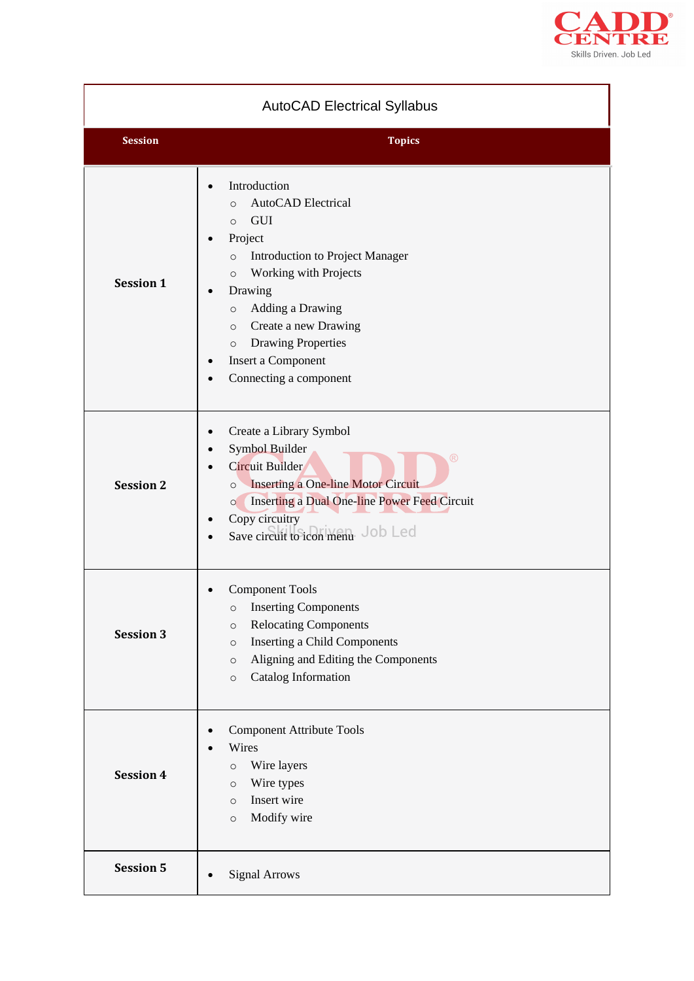

| <b>AutoCAD Electrical Syllabus</b> |                                                                                                                                                                                                                                                                                                                                                                     |  |
|------------------------------------|---------------------------------------------------------------------------------------------------------------------------------------------------------------------------------------------------------------------------------------------------------------------------------------------------------------------------------------------------------------------|--|
| <b>Session</b>                     | <b>Topics</b>                                                                                                                                                                                                                                                                                                                                                       |  |
| <b>Session 1</b>                   | Introduction<br>$\bullet$<br><b>AutoCAD</b> Electrical<br>$\circ$<br><b>GUI</b><br>$\circ$<br>Project<br><b>Introduction to Project Manager</b><br>$\circ$<br>Working with Projects<br>$\circ$<br>Drawing<br>Adding a Drawing<br>$\circ$<br>Create a new Drawing<br>$\circ$<br><b>Drawing Properties</b><br>$\circ$<br>Insert a Component<br>Connecting a component |  |
| <b>Session 2</b>                   | Create a Library Symbol<br>Symbol Builder<br>$^{\circledR}$<br><b>Circuit Builder</b><br><b>Inserting a One-line Motor Circuit</b><br>$\circ$<br>Inserting a Dual One-line Power Feed Circuit<br>$\circ$<br>Copy circuitry<br>٠<br>Save circuit to icon menu Job Led                                                                                                |  |
| <b>Session 3</b>                   | <b>Component Tools</b><br><b>Inserting Components</b><br>O<br><b>Relocating Components</b><br>$\circ$<br><b>Inserting a Child Components</b><br>$\circ$<br>Aligning and Editing the Components<br>$\circ$<br>Catalog Information<br>$\circ$                                                                                                                         |  |
| <b>Session 4</b>                   | <b>Component Attribute Tools</b><br>Wires<br>Wire layers<br>$\circ$<br>Wire types<br>$\circ$<br>Insert wire<br>$\circ$<br>Modify wire<br>$\circ$                                                                                                                                                                                                                    |  |
| <b>Session 5</b>                   | <b>Signal Arrows</b>                                                                                                                                                                                                                                                                                                                                                |  |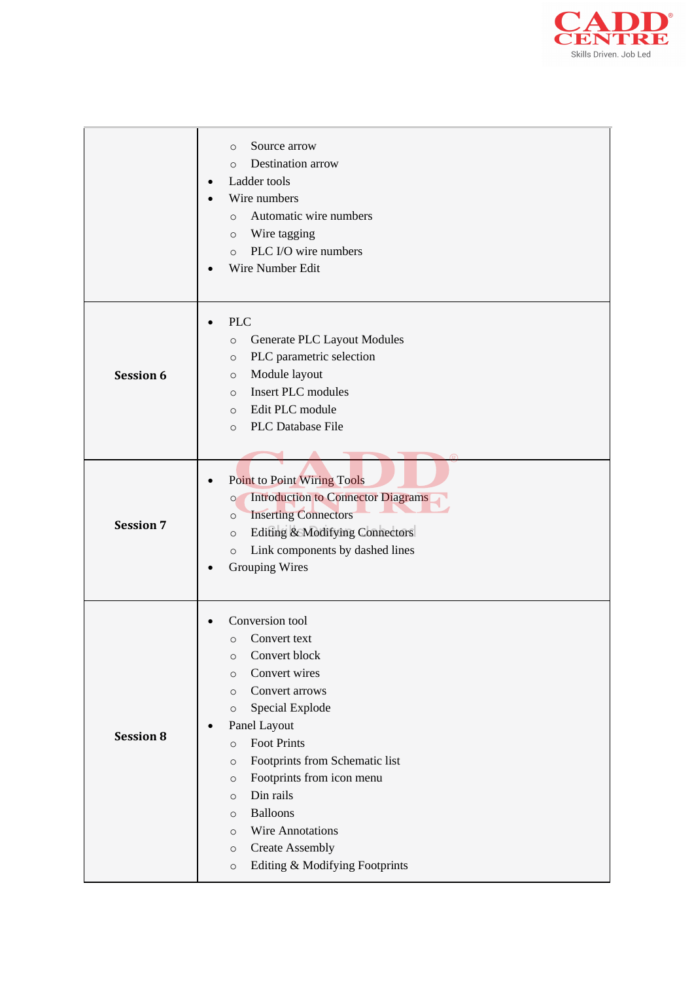

|                  | Source arrow<br>$\circ$<br>Destination arrow<br>$\circ$<br>Ladder tools<br>Wire numbers<br>Automatic wire numbers<br>$\circ$<br>Wire tagging<br>$\circ$<br>PLC I/O wire numbers<br>$\circ$<br>Wire Number Edit                                                                                                                                                                                                                                                             |
|------------------|----------------------------------------------------------------------------------------------------------------------------------------------------------------------------------------------------------------------------------------------------------------------------------------------------------------------------------------------------------------------------------------------------------------------------------------------------------------------------|
| <b>Session 6</b> | <b>PLC</b><br>Generate PLC Layout Modules<br>$\circ$<br>PLC parametric selection<br>$\circ$<br>Module layout<br>$\circ$<br><b>Insert PLC</b> modules<br>$\circ$<br>Edit PLC module<br>$\circ$<br>PLC Database File<br>$\circ$                                                                                                                                                                                                                                              |
| <b>Session 7</b> | <b>Point to Point Wiring Tools</b><br><b>Introduction to Connector Diagrams</b><br>$\circ$<br><b>Inserting Connectors</b><br>$\circ$<br>Editing & Modifying Connectors<br>$\circ$<br>Link components by dashed lines<br>$\circ$<br><b>Grouping Wires</b>                                                                                                                                                                                                                   |
| <b>Session 8</b> | Conversion tool<br>Convert text<br>$\circ$<br>Convert block<br>$\circ$<br>Convert wires<br>$\circ$<br>Convert arrows<br>$\circ$<br>Special Explode<br>$\circ$<br>Panel Layout<br><b>Foot Prints</b><br>$\circ$<br>Footprints from Schematic list<br>$\circ$<br>Footprints from icon menu<br>$\circ$<br>Din rails<br>$\circ$<br><b>Balloons</b><br>$\circ$<br>Wire Annotations<br>$\circ$<br><b>Create Assembly</b><br>$\circ$<br>Editing & Modifying Footprints<br>$\circ$ |